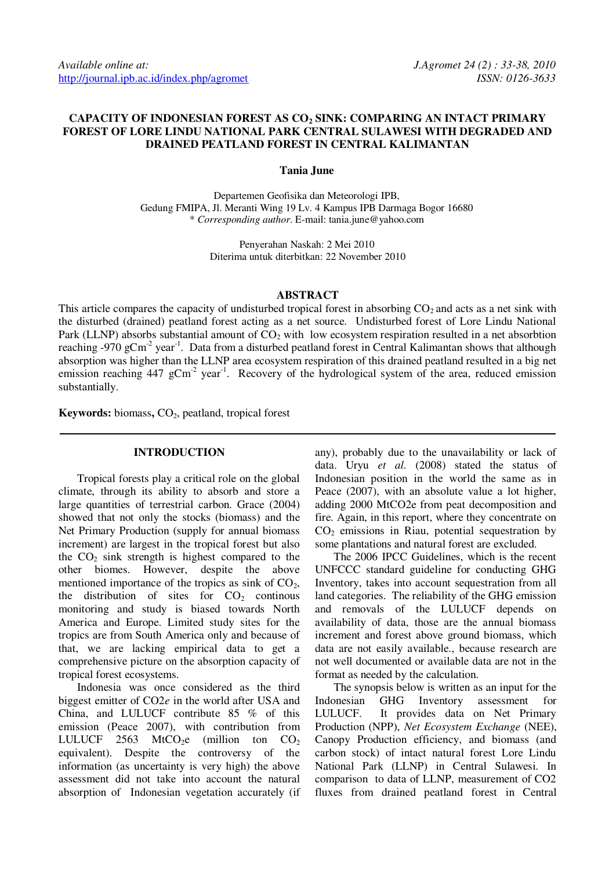# **CAPACITY OF INDONESIAN FOREST AS CO2 SINK: COMPARING AN INTACT PRIMARY FOREST OF LORE LINDU NATIONAL PARK CENTRAL SULAWESI WITH DEGRADED AND DRAINED PEATLAND FOREST IN CENTRAL KALIMANTAN**

#### **Tania June**

Departemen Geofisika dan Meteorologi IPB, Gedung FMIPA, Jl. Meranti Wing 19 Lv. 4 Kampus IPB Darmaga Bogor 16680 \* *Corresponding author*. E-mail: tania.june@yahoo.com

> Penyerahan Naskah: 2 Mei 2010 Diterima untuk diterbitkan: 22 November 2010

### **ABSTRACT**

This article compares the capacity of undisturbed tropical forest in absorbing  $CO<sub>2</sub>$  and acts as a net sink with the disturbed (drained) peatland forest acting as a net source. Undisturbed forest of Lore Lindu National Park (LLNP) absorbs substantial amount of  $CO<sub>2</sub>$  with low ecosystem respiration resulted in a net absorbtion reaching -970 gCm<sup>-2</sup> year<sup>-1</sup>. Data from a disturbed peatland forest in Central Kalimantan shows that although absorption was higher than the LLNP area ecosystem respiration of this drained peatland resulted in a big net emission reaching  $447 \text{ gCm}^2$  year<sup>-1</sup>. Recovery of the hydrological system of the area, reduced emission substantially.

**Keywords:** biomass,  $CO<sub>2</sub>$ , peatland, tropical forest

#### **INTRODUCTION**

Tropical forests play a critical role on the global climate, through its ability to absorb and store a large quantities of terrestrial carbon. Grace (2004) showed that not only the stocks (biomass) and the Net Primary Production (supply for annual biomass increment) are largest in the tropical forest but also the  $CO<sub>2</sub>$  sink strength is highest compared to the other biomes. However, despite the above mentioned importance of the tropics as sink of  $CO<sub>2</sub>$ , the distribution of sites for  $CO<sub>2</sub>$  continous monitoring and study is biased towards North America and Europe. Limited study sites for the tropics are from South America only and because of that, we are lacking empirical data to get a comprehensive picture on the absorption capacity of tropical forest ecosystems.

Indonesia was once considered as the third biggest emitter of CO2*e* in the world after USA and China, and LULUCF contribute 85 % of this emission (Peace 2007), with contribution from LULUCF 2563 MtCO<sub>2</sub>e (million ton CO<sub>2</sub> equivalent). Despite the controversy of the information (as uncertainty is very high) the above assessment did not take into account the natural absorption of Indonesian vegetation accurately (if any), probably due to the unavailability or lack of data. Uryu *et al.* (2008) stated the status of Indonesian position in the world the same as in Peace (2007), with an absolute value a lot higher, adding 2000 MtCO2e from peat decomposition and fire. Again, in this report, where they concentrate on  $CO<sub>2</sub>$  emissions in Riau, potential sequestration by some plantations and natural forest are excluded.

The 2006 IPCC Guidelines, which is the recent UNFCCC standard guideline for conducting GHG Inventory, takes into account sequestration from all land categories. The reliability of the GHG emission and removals of the LULUCF depends on availability of data, those are the annual biomass increment and forest above ground biomass, which data are not easily available., because research are not well documented or available data are not in the format as needed by the calculation.

The synopsis below is written as an input for the Indonesian GHG Inventory assessment for LULUCF. It provides data on Net Primary Production (NPP), *Net Ecosystem Exchange* (NEE), Canopy Production efficiency, and biomass (and carbon stock) of intact natural forest Lore Lindu National Park (LLNP) in Central Sulawesi. In comparison to data of LLNP, measurement of CO2 fluxes from drained peatland forest in Central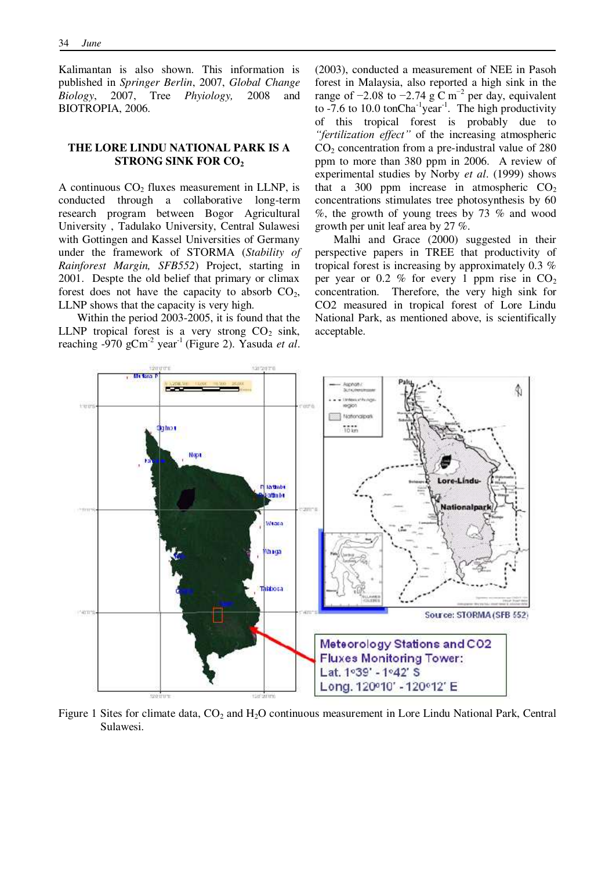Kalimantan is also shown. This information is published in *Springer Berlin*, 2007, *Global Change Biology*, 2007, Tree *Phyiology,* 2008 and BIOTROPIA, 2006.

## **THE LORE LINDU NATIONAL PARK IS A STRONG SINK FOR CO<sup>2</sup>**

A continuous  $CO<sub>2</sub>$  fluxes measurement in LLNP, is conducted through a collaborative long-term research program between Bogor Agricultural University , Tadulako University, Central Sulawesi with Gottingen and Kassel Universities of Germany under the framework of STORMA (*Stability of Rainforest Margin, SFB552*) Project, starting in 2001. Despte the old belief that primary or climax forest does not have the capacity to absorb  $CO<sub>2</sub>$ , LLNP shows that the capacity is very high.

Within the period 2003-2005, it is found that the LLNP tropical forest is a very strong  $CO<sub>2</sub>$  sink, reaching  $-970$  gCm<sup>-2</sup> year<sup>-1</sup> (Figure 2). Yasuda *et al*. (2003), conducted a measurement of NEE in Pasoh forest in Malaysia, also reported a high sink in the range of  $-2.08$  to  $-2.74$  g C m<sup>-2</sup> per day, equivalent to  $-7.6$  to 10.0 tonCha<sup>-1</sup>year<sup>-1</sup>. The high productivity of this tropical forest is probably due to *"fertilization effect"* of the increasing atmospheric  $CO<sub>2</sub>$  concentration from a pre-industral value of 280 ppm to more than 380 ppm in 2006. A review of experimental studies by Norby *et al*. (1999) shows that a 300 ppm increase in atmospheric  $CO<sub>2</sub>$ concentrations stimulates tree photosynthesis by 60 %, the growth of young trees by 73 % and wood growth per unit leaf area by 27 %.

Malhi and Grace (2000) suggested in their perspective papers in TREE that productivity of tropical forest is increasing by approximately 0.3 % per year or 0.2 % for every 1 ppm rise in  $CO<sub>2</sub>$ concentration. Therefore, the very high sink for CO2 measured in tropical forest of Lore Lindu National Park, as mentioned above, is scientifically acceptable.



Figure 1 Sites for climate data,  $CO<sub>2</sub>$  and  $H<sub>2</sub>O$  continuous measurement in Lore Lindu National Park, Central Sulawesi.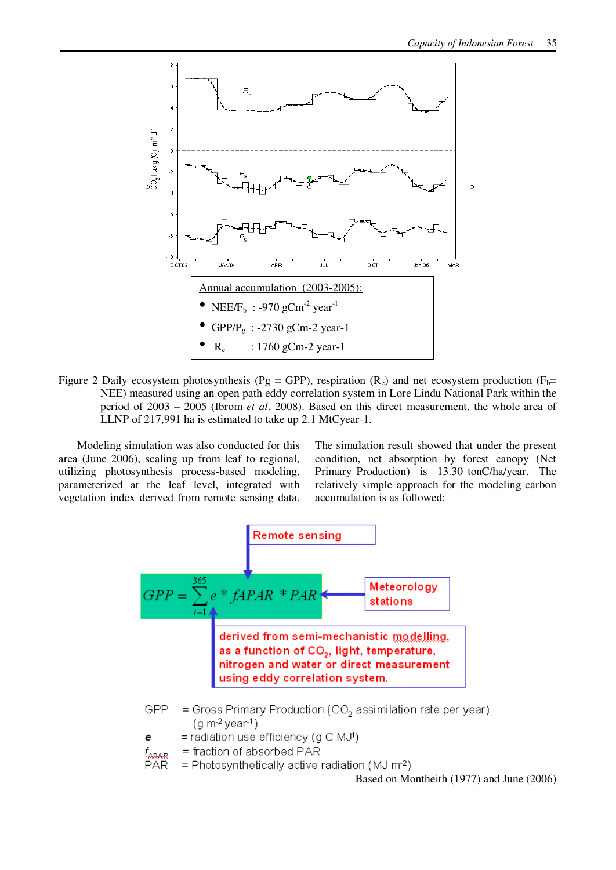

Figure 2 Daily ecosystem photosynthesis (Pg = GPP), respiration (R<sub>e</sub>) and net ecosystem production (F<sub>b</sub>= NEE) measured using an open path eddy correlation system in Lore Lindu National Park within the period of 2003 – 2005 (Ibrom *et al.* 2008). Based on this direct measurement, the whole area of LLNP of 217,991 ha is estimated to take up 2.1 MtCyear-1.

Modeling simulation was also conducted for this area (June 2006), scaling up from leaf to regional, utilizing photosynthesis process-based modeling, parameterized at the leaf level, integrated with vegetation index derived from remote sensing data.

The simulation result showed that under the present condition, net absorption by forest canopy (Net Primary Production) is 13.30 tonC/ha/year. The relatively simple approach for the modeling carbon accumulation is as followed:



Based on Montheith (1977) and June (2006)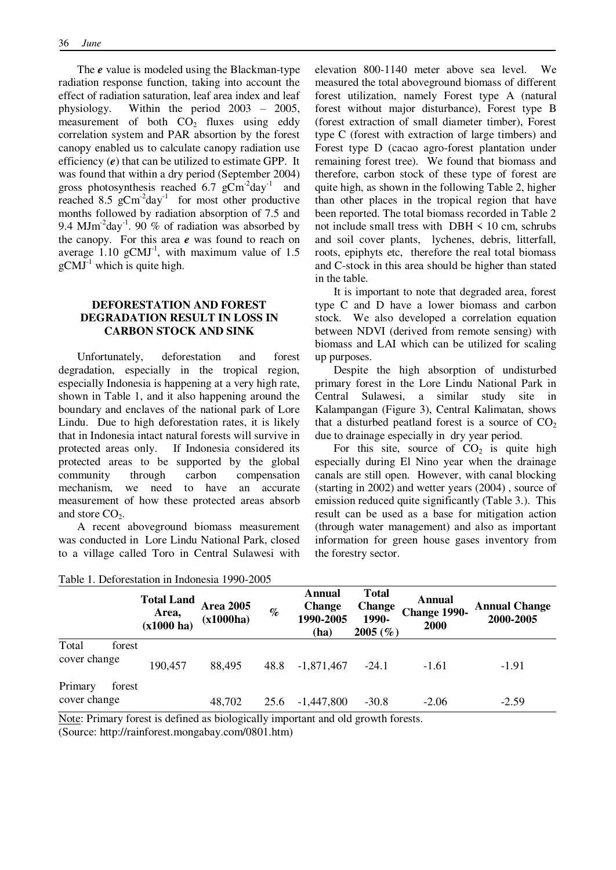The *e* value is modeled using the Blackman-type radiation response function, taking into account the effect of radiation saturation, leaf area index and leaf physiology. Within the period  $2003 - 2005$ , measurement of both  $CO<sub>2</sub>$  fluxes using eddy correlation system and PAR absortion by the forest canopy enabled us to calculate canopy radiation use efficiency (*e*) that can be utilized to estimate GPP. It was found that within a dry period (September 2004) gross photosynthesis reached 6.7  $g\text{Cm}^2$ day<sup>-1</sup> and reached 8.5  $gCm<sup>-2</sup>day<sup>-1</sup>$  for most other productive months followed by radiation absorption of 7.5 and 9.4 MJm<sup>-2</sup>day<sup>-1</sup>. 90 % of radiation was absorbed by the canopy. For this area *e* was found to reach on average  $1.10$  gCMJ<sup>-1</sup>, with maximum value of 1.5  $gCMJ<sup>-1</sup>$  which is quite high.

## **DEFORESTATION AND FOREST DEGRADATION RESULT IN LOSS IN CARBON STOCK AND SINK**

Unfortunately, deforestation and forest degradation, especially in the tropical region, especially Indonesia is happening at a very high rate, shown in Table 1, and it also happening around the boundary and enclaves of the national park of Lore Lindu. Due to high deforestation rates, it is likely that in Indonesia intact natural forests will survive in protected areas only. If Indonesia considered its protected areas to be supported by the global community through carbon compensation mechanism, we need to have an accurate measurement of how these protected areas absorb and store  $CO<sub>2</sub>$ .

A recent aboveground biomass measurement was conducted in Lore Lindu National Park, closed to a village called Toro in Central Sulawesi with

elevation 800-1140 meter above sea level. We measured the total aboveground biomass of different forest utilization, namely Forest type A (natural forest without major disturbance), Forest type B (forest extraction of small diameter timber), Forest type C (forest with extraction of large timbers) and Forest type D (cacao agro-forest plantation under remaining forest tree). We found that biomass and therefore, carbon stock of these type of forest are quite high, as shown in the following Table 2, higher than other places in the tropical region that have been reported. The total biomass recorded in Table 2 not include small tress with  $DBH < 10$  cm, schrubs and soil cover plants, lychenes, debris, litterfall, roots, epiphyts etc, therefore the real total biomass and C-stock in this area should be higher than stated in the table.

It is important to note that degraded area, forest type C and D have a lower biomass and carbon stock. We also developed a correlation equation between NDVI (derived from remote sensing) with biomass and LAI which can be utilized for scaling up purposes.

Despite the high absorption of undisturbed primary forest in the Lore Lindu National Park in Central Sulawesi, a similar study site in Kalampangan (Figure 3), Central Kalimatan, shows that a disturbed peatland forest is a source of  $CO<sub>2</sub>$ due to drainage especially in dry year period.

For this site, source of  $CO<sub>2</sub>$  is quite high especially during El Nino year when the drainage canals are still open. However, with canal blocking (starting in 2002) and wetter years (2004) , source of emission reduced quite significantly (Table 3.). This result can be used as a base for mitigation action (through water management) and also as important information for green house gases inventory from the forestry sector.

|                         |        | <b>Total Land</b><br>Area,<br>(x1000 ha) | <b>Area 2005</b><br>(x1000ha) | $\%$ | Annual<br><b>Change</b><br>1990-2005<br>(ha) | <b>Total</b><br><b>Change</b><br>1990-<br>2005(%) | Annual<br>Change 1990-<br><b>2000</b> | <b>Annual Change</b><br>2000-2005 |
|-------------------------|--------|------------------------------------------|-------------------------------|------|----------------------------------------------|---------------------------------------------------|---------------------------------------|-----------------------------------|
| Total<br>cover change   | forest | 190,457                                  | 88,495                        | 48.8 | $-1,871,467$                                 | $-24.1$                                           | $-1.61$                               | $-1.91$                           |
| Primary<br>cover change | forest |                                          | 48,702                        | 25.6 | $-1,447,800$                                 | $-30.8$                                           | $-2.06$                               | $-2.59$                           |

| Table 1. Deforestation in Indonesia 1990-2005 |  |  |
|-----------------------------------------------|--|--|
|-----------------------------------------------|--|--|

Note: Primary forest is defined as biologically important and old growth forests. (Source: http://rainforest.mongabay.com/0801.htm)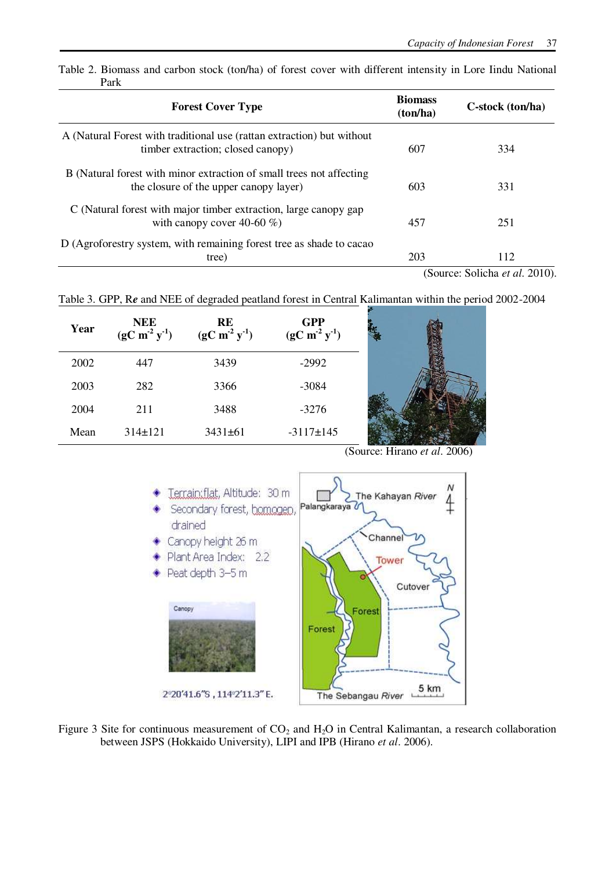| <b>Forest Cover Type</b>                                                                                       | <b>Biomass</b><br>(ton/ha) | C-stock (ton/ha)               |  |
|----------------------------------------------------------------------------------------------------------------|----------------------------|--------------------------------|--|
| A (Natural Forest with traditional use (rattan extraction) but without<br>timber extraction; closed canopy)    | 607                        | 334                            |  |
| B (Natural forest with minor extraction of small trees not affecting<br>the closure of the upper canopy layer) | 603                        | 331                            |  |
| C (Natural forest with major timber extraction, large canopy gap<br>with canopy cover 40-60 $\%$ )             | 457                        | 251                            |  |
| D (Agroforestry system, with remaining forest tree as shade to cacao<br>tree)                                  | 203                        | 112                            |  |
|                                                                                                                |                            | (Source: Solicha et al. 2010). |  |

Table 2. Biomass and carbon stock (ton/ha) of forest cover with different intensity in Lore Iindu National Park

Table 3. GPP, R*e* and NEE of degraded peatland forest in Central Kalimantan within the period 2002-2004

| Year | <b>NEE</b><br>$(gC m2 y-1)$ | RE<br>$(gC \overline{m^2} y^1)$ | <b>GPP</b><br>$(gC m-2 y-1)$ |  |
|------|-----------------------------|---------------------------------|------------------------------|--|
| 2002 | 447                         | 3439                            | $-2992$                      |  |
| 2003 | 282                         | 3366                            | $-3084$                      |  |
| 2004 | 211                         | 3488                            | $-3276$                      |  |
| Mean | $314 \pm 121$               | $3431 \pm 61$                   | $-3117 \pm 145$              |  |

(Source: Hirano *et al*. 2006)



Figure 3 Site for continuous measurement of  $CO_2$  and  $H_2O$  in Central Kalimantan, a research collaboration between JSPS (Hokkaido University), LIPI and IPB (Hirano *et al*. 2006).